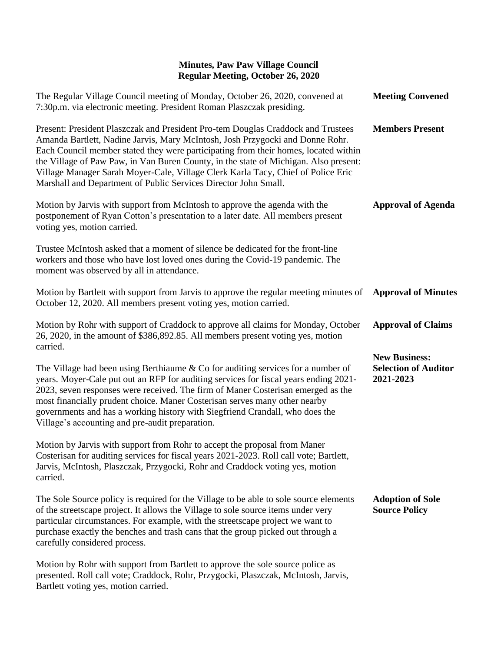## **Minutes, Paw Paw Village Council Regular Meeting, October 26, 2020**

| The Regular Village Council meeting of Monday, October 26, 2020, convened at<br>7:30p.m. via electronic meeting. President Roman Plaszczak presiding.                                                                                                                                                                                                                                                                                                                                                   | <b>Meeting Convened</b>                                          |
|---------------------------------------------------------------------------------------------------------------------------------------------------------------------------------------------------------------------------------------------------------------------------------------------------------------------------------------------------------------------------------------------------------------------------------------------------------------------------------------------------------|------------------------------------------------------------------|
| Present: President Plaszczak and President Pro-tem Douglas Craddock and Trustees<br>Amanda Bartlett, Nadine Jarvis, Mary McIntosh, Josh Przygocki and Donne Rohr.<br>Each Council member stated they were participating from their homes, located within<br>the Village of Paw Paw, in Van Buren County, in the state of Michigan. Also present:<br>Village Manager Sarah Moyer-Cale, Village Clerk Karla Tacy, Chief of Police Eric<br>Marshall and Department of Public Services Director John Small. | <b>Members Present</b>                                           |
| Motion by Jarvis with support from McIntosh to approve the agenda with the<br>postponement of Ryan Cotton's presentation to a later date. All members present<br>voting yes, motion carried.                                                                                                                                                                                                                                                                                                            | <b>Approval of Agenda</b>                                        |
| Trustee McIntosh asked that a moment of silence be dedicated for the front-line<br>workers and those who have lost loved ones during the Covid-19 pandemic. The<br>moment was observed by all in attendance.                                                                                                                                                                                                                                                                                            |                                                                  |
| Motion by Bartlett with support from Jarvis to approve the regular meeting minutes of<br>October 12, 2020. All members present voting yes, motion carried.                                                                                                                                                                                                                                                                                                                                              | <b>Approval of Minutes</b>                                       |
| Motion by Rohr with support of Craddock to approve all claims for Monday, October<br>26, 2020, in the amount of \$386,892.85. All members present voting yes, motion<br>carried.                                                                                                                                                                                                                                                                                                                        | <b>Approval of Claims</b>                                        |
| The Village had been using Berthiaume $&$ Co for auditing services for a number of<br>years. Moyer-Cale put out an RFP for auditing services for fiscal years ending 2021-<br>2023, seven responses were received. The firm of Maner Costerisan emerged as the<br>most financially prudent choice. Maner Costerisan serves many other nearby<br>governments and has a working history with Siegfriend Crandall, who does the<br>Village's accounting and pre-audit preparation.                         | <b>New Business:</b><br><b>Selection of Auditor</b><br>2021-2023 |
| Motion by Jarvis with support from Rohr to accept the proposal from Maner<br>Costerisan for auditing services for fiscal years 2021-2023. Roll call vote; Bartlett,<br>Jarvis, McIntosh, Plaszczak, Przygocki, Rohr and Craddock voting yes, motion<br>carried.                                                                                                                                                                                                                                         |                                                                  |
| The Sole Source policy is required for the Village to be able to sole source elements<br>of the streetscape project. It allows the Village to sole source items under very<br>particular circumstances. For example, with the streetscape project we want to<br>purchase exactly the benches and trash cans that the group picked out through a<br>carefully considered process.                                                                                                                        | <b>Adoption of Sole</b><br><b>Source Policy</b>                  |
| Motion by Rohr with support from Bartlett to approve the sole source police as<br>presented. Roll call vote; Craddock, Rohr, Przygocki, Plaszczak, McIntosh, Jarvis,<br>Bartlett voting yes, motion carried.                                                                                                                                                                                                                                                                                            |                                                                  |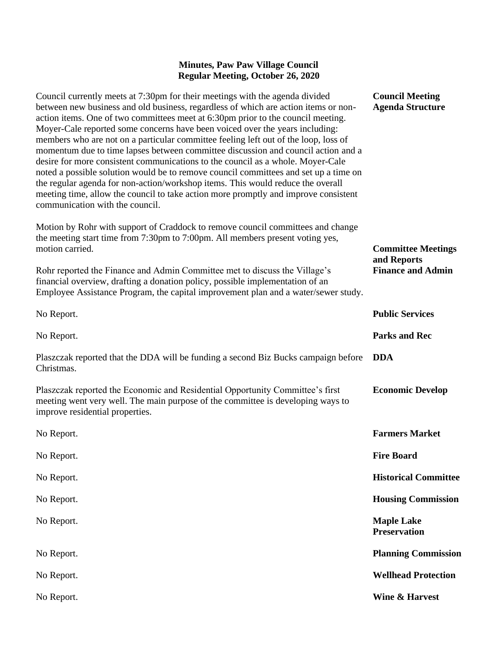## **Minutes, Paw Paw Village Council Regular Meeting, October 26, 2020**

**Council Meeting Agenda Structure**

**Committee Meetings** 

**Finance and Admin**

**and Reports**

Council currently meets at 7:30pm for their meetings with the agenda divided between new business and old business, regardless of which are action items or nonaction items. One of two committees meet at 6:30pm prior to the council meeting. Moyer-Cale reported some concerns have been voiced over the years including: members who are not on a particular committee feeling left out of the loop, loss of momentum due to time lapses between committee discussion and council action and a desire for more consistent communications to the council as a whole. Moyer-Cale noted a possible solution would be to remove council committees and set up a time on the regular agenda for non-action/workshop items. This would reduce the overall meeting time, allow the council to take action more promptly and improve consistent communication with the council.

Motion by Rohr with support of Craddock to remove council committees and change the meeting start time from 7:30pm to 7:00pm. All members present voting yes, motion carried.

Rohr reported the Finance and Admin Committee met to discuss the Village's financial overview, drafting a donation policy, possible implementation of an Employee Assistance Program, the capital improvement plan and a water/sewer study.

| No Report.                                                                                                                                                                                          | <b>Public Services</b>                   |
|-----------------------------------------------------------------------------------------------------------------------------------------------------------------------------------------------------|------------------------------------------|
| No Report.                                                                                                                                                                                          | <b>Parks and Rec</b>                     |
| Plaszczak reported that the DDA will be funding a second Biz Bucks campaign before<br>Christmas.                                                                                                    | <b>DDA</b>                               |
| Plaszczak reported the Economic and Residential Opportunity Committee's first<br>meeting went very well. The main purpose of the committee is developing ways to<br>improve residential properties. | <b>Economic Develop</b>                  |
| No Report.                                                                                                                                                                                          | <b>Farmers Market</b>                    |
| No Report.                                                                                                                                                                                          | <b>Fire Board</b>                        |
| No Report.                                                                                                                                                                                          | <b>Historical Committee</b>              |
| No Report.                                                                                                                                                                                          | <b>Housing Commission</b>                |
| No Report.                                                                                                                                                                                          | <b>Maple Lake</b><br><b>Preservation</b> |
| No Report.                                                                                                                                                                                          | <b>Planning Commission</b>               |
| No Report.                                                                                                                                                                                          | <b>Wellhead Protection</b>               |
| No Report.                                                                                                                                                                                          | <b>Wine &amp; Harvest</b>                |
|                                                                                                                                                                                                     |                                          |